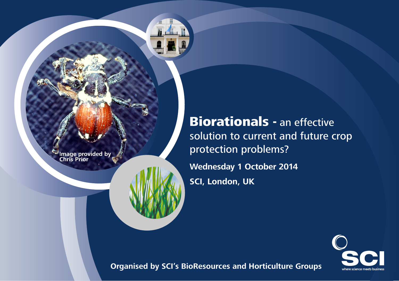I**mage provided by Chris Prior** 

**Biorationals - an effective** solution to current and future crop protection problems? **Wednesday 1 October 2014 SCI, London, UK**



**Organised by SCI's BioResources and Horticulture Groups**